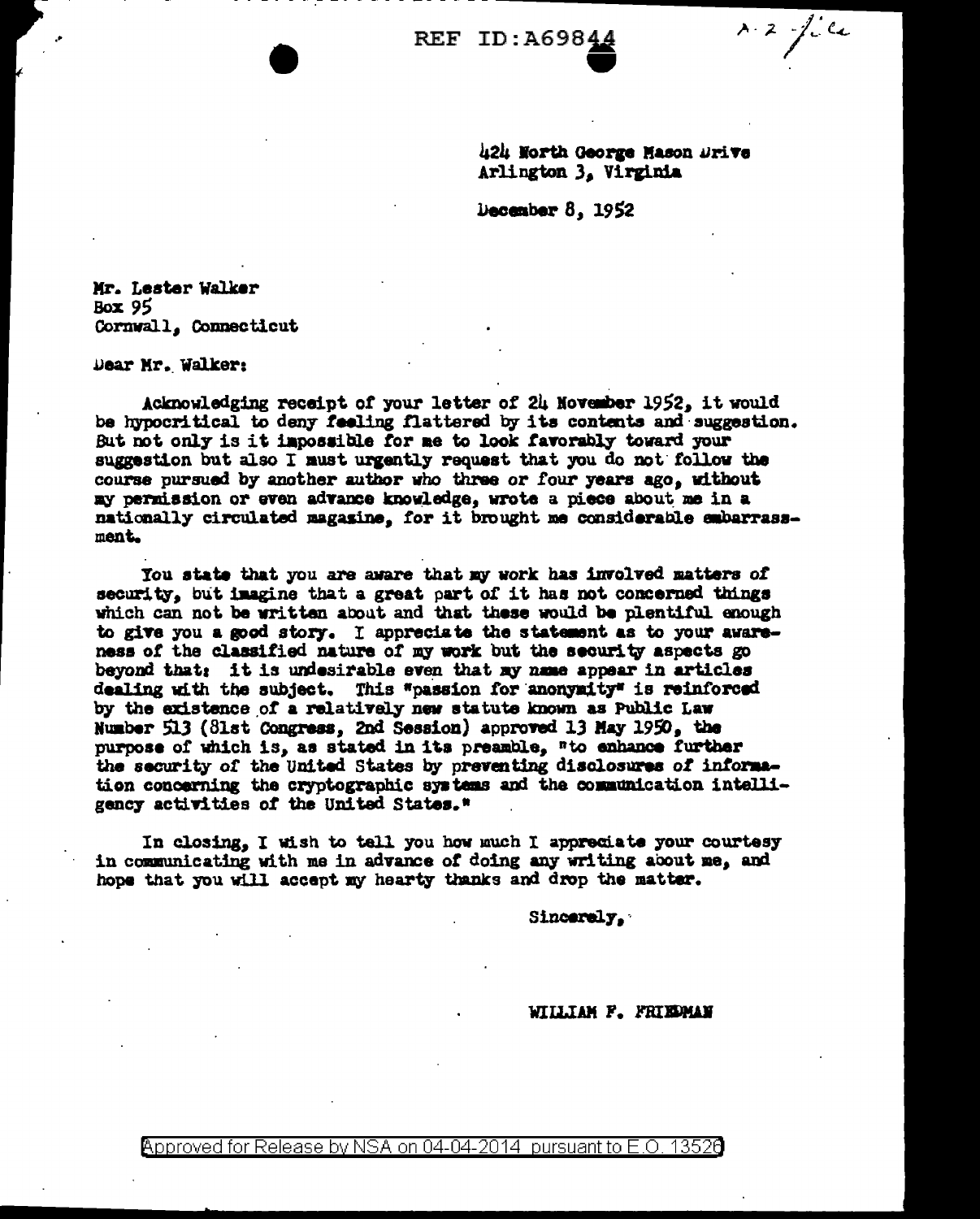**REF ID: A69844** 

 $8.2 - 1.64$ 

424 North George Mason Drive Arlington 3, Virginia

December  $8.1952$ 

Mr. Lester Walker Box 95 Cornwall, Connecticut

Dear Mr. Walker:

Acknowledging receipt of your letter of 24 November 1952, it would be hypocritical to deny feeling flattered by its contents and suggestion. But not only is it impossible for me to look favorably toward your suggestion but also I must urgently request that you do not follow the course pursued by another author who three or four years ago, without my permission or even advance knowledge, wrote a piece about me in a nationally circulated magazine. for it brought me considerable embarrassment.

You state that you are aware that my work has involved matters of security, but imagine that a great part of it has not concerned things which can not be written about and that these would be plentiful enough to give you a good story. I appreciate the statement as to your awareness of the classified nature of my work but the security aspects go beyond that: it is undesirable even that my name appear in articles dealing with the subject. This "passion for anonymity" is reinforced by the existence of a relatively new statute known as Public Law Number 513 (81st Congress, 2nd Session) approved 13 May 1950, the purpose of which is, as stated in its preamble, "to enhance further the security of the United States by preventing disclosures of information concerning the cryptographic systems and the communication intelligency activities of the United States."

In closing, I wish to tell you how much I appreciate your courtesy in communicating with me in advance of doing any writing about me, and hope that you will accept my hearty thanks and drop the matter.

Sincerely.

WILLIAM F. FRIEDMAN

Approved for Release by NSA on 04-04-2014  $\,$  pursuant to E.O. 1352 $0$